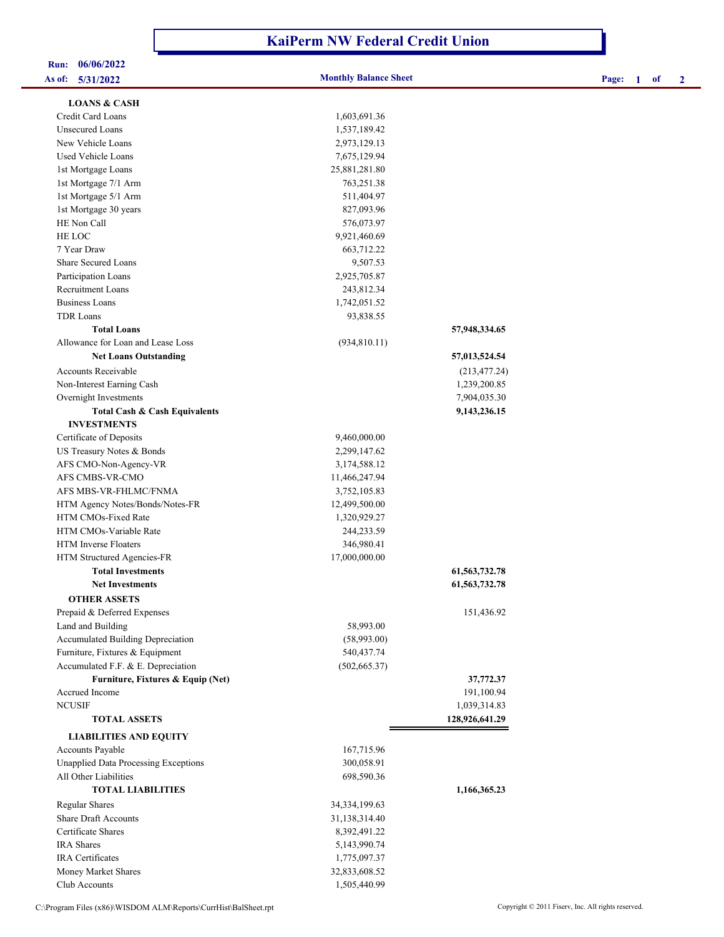## **KaiPerm NW Federal Credit Union**

# **Run: 06/06/2022**

| <b>LOANS &amp; CASH</b>                     |                  |                  |
|---------------------------------------------|------------------|------------------|
| Credit Card Loans                           | 1,603,691.36     |                  |
| Unsecured Loans                             | 1,537,189.42     |                  |
| New Vehicle Loans                           | 2,973,129.13     |                  |
| Used Vehicle Loans                          | 7,675,129.94     |                  |
| 1st Mortgage Loans                          | 25,881,281.80    |                  |
| 1st Mortgage 7/1 Arm                        | 763,251.38       |                  |
| 1st Mortgage 5/1 Arm                        | 511,404.97       |                  |
| 1st Mortgage 30 years                       | 827,093.96       |                  |
| HE Non Call                                 | 576,073.97       |                  |
| HE LOC                                      | 9,921,460.69     |                  |
| 7 Year Draw                                 | 663,712.22       |                  |
| <b>Share Secured Loans</b>                  | 9,507.53         |                  |
| Participation Loans                         | 2,925,705.87     |                  |
| <b>Recruitment Loans</b>                    | 243,812.34       |                  |
| <b>Business Loans</b>                       | 1,742,051.52     |                  |
| <b>TDR</b> Loans                            | 93,838.55        |                  |
| <b>Total Loans</b>                          |                  | 57,948,334.65    |
| Allowance for Loan and Lease Loss           | (934, 810.11)    |                  |
| <b>Net Loans Outstanding</b>                |                  | 57,013,524.54    |
| <b>Accounts Receivable</b>                  |                  | (213, 477.24)    |
| Non-Interest Earning Cash                   |                  | 1,239,200.85     |
| Overnight Investments                       |                  | 7,904,035.30     |
| Total Cash & Cash Equivalents               |                  | 9,143,236.15     |
| <b>INVESTMENTS</b>                          |                  |                  |
| Certificate of Deposits                     | 9,460,000.00     |                  |
| US Treasury Notes & Bonds                   | 2,299,147.62     |                  |
| AFS CMO-Non-Agency-VR                       | 3,174,588.12     |                  |
| AFS CMBS-VR-CMO                             | 11,466,247.94    |                  |
| AFS MBS-VR-FHLMC/FNMA                       | 3,752,105.83     |                  |
| HTM Agency Notes/Bonds/Notes-FR             | 12,499,500.00    |                  |
| HTM CMOs-Fixed Rate                         | 1,320,929.27     |                  |
| HTM CMOs-Variable Rate                      | 244,233.59       |                  |
| <b>HTM</b> Inverse Floaters                 | 346,980.41       |                  |
| HTM Structured Agencies-FR                  | 17,000,000.00    |                  |
| <b>Total Investments</b>                    |                  | 61, 563, 732. 78 |
| <b>Net Investments</b>                      |                  | 61, 563, 732. 78 |
| <b>OTHER ASSETS</b>                         |                  |                  |
| Prepaid & Deferred Expenses                 |                  | 151,436.92       |
| Land and Building                           | 58,993.00        |                  |
| Accumulated Building Depreciation           | (58,993.00)      |                  |
| Furniture, Fixtures & Equipment             | 540,437.74       |                  |
| Accumulated F.F. & E. Depreciation          | (502, 665.37)    |                  |
| Furniture, Fixtures & Equip (Net)           |                  | 37,772.37        |
| Accrued Income                              |                  | 191,100.94       |
| <b>NCUSIF</b>                               |                  | 1,039,314.83     |
| <b>TOTAL ASSETS</b>                         |                  | 128,926,641.29   |
| <b>LIABILITIES AND EQUITY</b>               |                  |                  |
| Accounts Payable                            | 167,715.96       |                  |
| <b>Unapplied Data Processing Exceptions</b> | 300,058.91       |                  |
| All Other Liabilities                       | 698,590.36       |                  |
| <b>TOTAL LIABILITIES</b>                    |                  | 1,166,365.23     |
| <b>Regular Shares</b>                       | 34, 334, 199. 63 |                  |
| <b>Share Draft Accounts</b>                 | 31,138,314.40    |                  |
| Certificate Shares                          | 8,392,491.22     |                  |
| <b>IRA</b> Shares                           | 5,143,990.74     |                  |
| <b>IRA</b> Certificates                     | 1,775,097.37     |                  |
| Money Market Shares                         | 32,833,608.52    |                  |
| Club Accounts                               | 1,505,440.99     |                  |